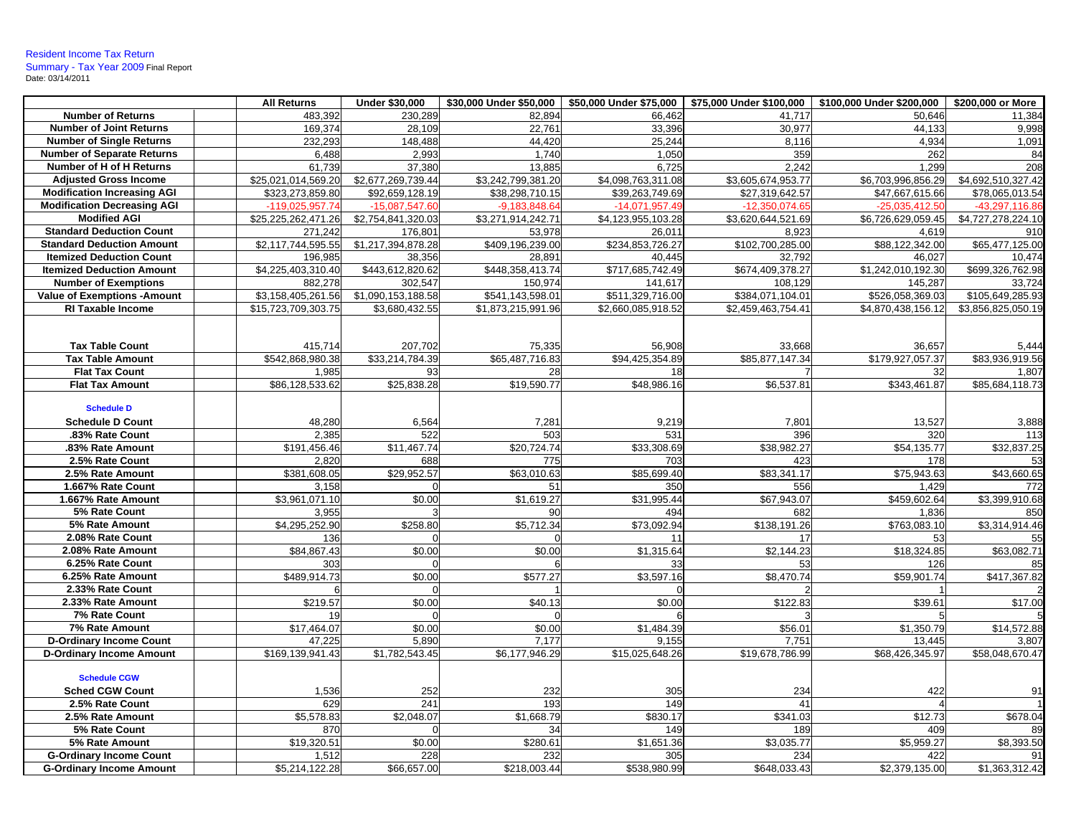|                                    | <b>All Returns</b>  | <b>Under \$30,000</b> |                    | \$30,000 Under \$50,000   \$50,000 Under \$75,000   \$75,000 Under \$100,000 |                    | \$100,000 Under \$200,000 | \$200,000 or More  |
|------------------------------------|---------------------|-----------------------|--------------------|------------------------------------------------------------------------------|--------------------|---------------------------|--------------------|
| <b>Number of Returns</b>           | 483,392             | 230,289               | 82,894             | 66,462                                                                       | 41,717             | 50,646                    | 11,384             |
| <b>Number of Joint Returns</b>     | 169,374             | 28,109                | 22,761             | 33,396                                                                       | 30,977             | 44,133                    | 9,998              |
| <b>Number of Single Returns</b>    | 232,293             | 148,488               | 44,420             | 25,244                                                                       | 8,116              | 4,934                     | 1,091              |
| <b>Number of Separate Returns</b>  | 6,488               | 2,993                 | 1,740              | 1,050                                                                        | 359                | 262                       | 84                 |
| Number of H of H Returns           | 61.739              | 37.380                | 13.885             | 6.725                                                                        | 2.242              | 1.299                     | 208                |
| <b>Adjusted Gross Income</b>       | \$25,021,014,569.20 | \$2,677,269,739.44    | \$3,242,799,381.20 | \$4,098,763,311.08                                                           | \$3,605,674,953.77 | \$6,703,996,856.29        | \$4,692,510,327.42 |
| <b>Modification Increasing AGI</b> | \$323,273,859.80    | \$92,659,128.19       | \$38,298,710.15    | \$39,263,749.69                                                              | \$27,319,642.57    | \$47,667,615.66           | \$78,065,013.54    |
| <b>Modification Decreasing AGI</b> | -119,025,957.74     | $-15,087,547.6$       | $-9.183.848.64$    | $-14,071,957.49$                                                             | $-12,350,074.65$   | $-25.035.412.5$           | -43.297.116.8      |
| <b>Modified AGI</b>                | \$25,225,262,471.26 | \$2,754,841,320.03    | \$3,271,914,242.71 | \$4,123,955,103.28                                                           | \$3,620,644,521.69 | \$6,726,629,059.45        | \$4,727,278,224.10 |
| <b>Standard Deduction Count</b>    | 271,242             | 176,801               | 53,978             | 26,011                                                                       | 8,923              | 4,619                     | 910                |
| <b>Standard Deduction Amount</b>   | \$2,117,744,595.55  | \$1,217,394,878.28    | \$409,196,239.00   | \$234,853,726.27                                                             | \$102,700,285.00   | \$88,122,342.00           | \$65,477,125.00    |
| <b>Itemized Deduction Count</b>    | 196,985             | 38,356                | 28,891             | 40,445                                                                       | 32,792             | 46,027                    | 10,474             |
| <b>Itemized Deduction Amount</b>   | \$4,225,403,310.40  | \$443,612,820.62      | \$448,358,413.74   | \$717,685,742.49                                                             | \$674,409,378.27   | \$1,242,010,192.30        | \$699,326,762.98   |
| <b>Number of Exemptions</b>        | 882,278             | 302,547               | 150,974            | 141,617                                                                      | 108,129            | 145,287                   | 33,724             |
| <b>Value of Exemptions -Amount</b> | \$3,158,405,261.56  | \$1,090,153,188.58    | \$541,143,598.01   | \$511,329,716.00                                                             | \$384,071,104.01   | \$526,058,369.03          | \$105,649,285.93   |
| RI Taxable Income                  | \$15,723,709,303.75 | \$3,680,432.55        | \$1,873,215,991.96 | \$2,660,085,918.52                                                           | \$2,459,463,754.41 | \$4,870,438,156.12        | \$3,856,825,050.19 |
|                                    |                     |                       |                    |                                                                              |                    |                           |                    |
|                                    |                     |                       |                    |                                                                              |                    |                           |                    |
| <b>Tax Table Count</b>             | 415,714             | 207,702               | 75,335             | 56,908                                                                       | 33,668             | 36,657                    | 5,444              |
| <b>Tax Table Amount</b>            | \$542.868.980.38    | \$33.214.784.39       | \$65,487,716.83    | \$94.425.354.89                                                              | \$85.877.147.34    | \$179,927,057.37          | \$83.936.919.56    |
| <b>Flat Tax Count</b>              | 1,985               | 93                    | 28                 | 18                                                                           |                    | 32                        | 1,807              |
| <b>Flat Tax Amount</b>             | \$86,128,533.62     | \$25,838.28           | \$19,590.77        | \$48,986.16                                                                  | \$6,537.81         | \$343,461.87              | \$85,684,118.73    |
|                                    |                     |                       |                    |                                                                              |                    |                           |                    |
| <b>Schedule D</b>                  |                     |                       |                    |                                                                              |                    |                           |                    |
| <b>Schedule D Count</b>            | 48,280              | 6,564                 | 7,281              | 9,219                                                                        | 7,801              | 13,527                    | 3,888              |
| .83% Rate Count                    | 2,385               | 522                   | 503                | 531                                                                          | 396                | 320                       | 113                |
| .83% Rate Amount                   | \$191,456.46        | \$11,467.74           | \$20,724.74        | \$33,308.69                                                                  | \$38,982.27        | \$54,135.77               | \$32,837.25        |
| 2.5% Rate Count                    | 2,820               | 688                   | 775                | 703                                                                          | 423                | 178                       | 53                 |
| 2.5% Rate Amount                   | \$381,608.05        | \$29,952.57           | \$63,010.63        | \$85,699.40                                                                  | \$83,341.17        | \$75,943.63               | \$43,660.65        |
| 1.667% Rate Count                  | 3,158               |                       | 51                 | 350                                                                          | 556                | 1.429                     | 772                |
| 1.667% Rate Amount                 | \$3,961,071.10      | \$0.00                | \$1,619.27         | \$31,995.44                                                                  | \$67,943.07        | \$459,602.64              | \$3,399,910.68     |
| 5% Rate Count                      | 3,955               |                       | 90                 | 494                                                                          | 682                | 1,836                     | 850                |
| 5% Rate Amount                     | \$4,295,252.90      | \$258.80              | \$5,712.34         | \$73,092.94                                                                  | \$138,191.26       | \$763,083.10              | \$3,314,914.46     |
| 2.08% Rate Count                   | 136                 |                       | $\Omega$           | 11                                                                           | 17                 | 53                        | 55                 |
| 2.08% Rate Amount                  | \$84,867.43         | \$0.00                | \$0.00             | \$1,315.64                                                                   | \$2,144.23         | \$18,324.85               | \$63,082.71        |
| 6.25% Rate Count                   | 303                 |                       |                    | 33                                                                           | 53                 | 126                       | 85                 |
| 6.25% Rate Amount                  | \$489,914.73        | \$0.00                | \$577.27           | \$3,597.16                                                                   | \$8,470.74         | \$59,901.74               | \$417,367.82       |
| 2.33% Rate Count                   |                     |                       |                    |                                                                              |                    |                           |                    |
| 2.33% Rate Amount                  | \$219.57            | \$0.00                | \$40.13            | \$0.00                                                                       | \$122.83           | \$39.61                   | \$17.00            |
| 7% Rate Count                      | 19                  |                       |                    |                                                                              |                    |                           |                    |
| 7% Rate Amount                     | \$17,464.07         | \$0.00                | \$0.00             | \$1,484.39                                                                   | \$56.01            | \$1,350.79                | \$14,572.88        |
| <b>D-Ordinary Income Count</b>     | 47,225              | 5,890                 | 7,177              | 9,155                                                                        | 7,751              | 13,445                    | 3,807              |
| <b>D-Ordinary Income Amount</b>    | \$169,139,941.43    | \$1,782,543.45        | \$6,177,946.29     | \$15,025,648.26                                                              | \$19,678,786.99    | \$68,426,345.97           | \$58,048,670.47    |
|                                    |                     |                       |                    |                                                                              |                    |                           |                    |
| <b>Schedule CGW</b>                |                     |                       |                    |                                                                              |                    |                           |                    |
| <b>Sched CGW Count</b>             | 1,536               | 252                   | 232                | 305                                                                          | 234                | 422                       | 91                 |
| 2.5% Rate Count                    | 629                 | 241                   | 193                | 149                                                                          | 41                 |                           |                    |
| 2.5% Rate Amount                   | \$5,578.83          | \$2,048.07            | \$1,668.79         | \$830.17                                                                     | \$341.03           | \$12.73                   | \$678.04           |
| 5% Rate Count                      | 870                 |                       | 34                 | 149                                                                          | 189                | 409                       | 89                 |
| 5% Rate Amount                     | \$19,320.51         | \$0.00                | \$280.61           | \$1,651.36                                                                   | \$3,035.77         | \$5,959.27                | \$8,393.50         |
|                                    |                     |                       |                    |                                                                              |                    |                           |                    |
| <b>G-Ordinary Income Count</b>     | 1,512               | 228                   | 232                | 305                                                                          | 234                | 422                       | 91                 |
| <b>G-Ordinary Income Amount</b>    | \$5,214,122.28      | \$66,657.00           | \$218,003.44       | \$538,980.99                                                                 | \$648,033.43       | \$2,379,135.00            | \$1,363,312.42     |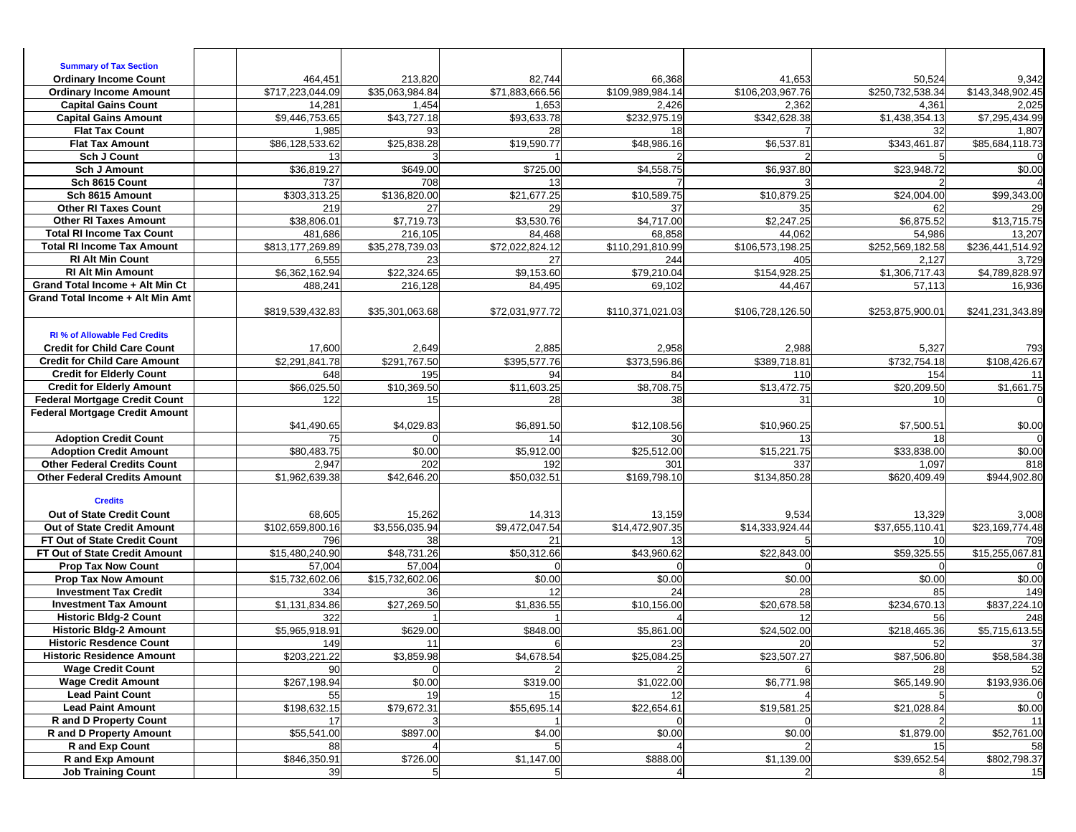| <b>Summary of Tax Section</b>                                                 |                          |                      |                              |                       |                       |                         |                                         |
|-------------------------------------------------------------------------------|--------------------------|----------------------|------------------------------|-----------------------|-----------------------|-------------------------|-----------------------------------------|
| <b>Ordinary Income Count</b>                                                  | 464,451                  | 213,820              | 82,744                       | 66,368                | 41,653                | 50,524                  | 9,342                                   |
| <b>Ordinary Income Amount</b>                                                 | \$717,223,044.09         | \$35,063,984.84      | \$71,883,666.56              | \$109,989,984.14      | \$106,203,967.76      | \$250.732.538.34        | \$143,348,902.45                        |
| <b>Capital Gains Count</b><br><b>Capital Gains Amount</b>                     | 14,281<br>\$9,446,753.65 | 1,454<br>\$43,727.18 | 1,653<br>\$93,633.78         | 2,426<br>\$232,975.19 | 2,362<br>\$342,628.38 | 4,361<br>\$1,438,354.13 | 2,025<br>\$7,295,434.99                 |
| <b>Flat Tax Count</b>                                                         | 1,985                    | 93                   | 28                           | 18                    |                       | 32                      | 1,807                                   |
| <b>Flat Tax Amount</b>                                                        | \$86,128,533.62          | \$25,838.28          | \$19,590.77                  | \$48,986.16           | \$6,537.81            | \$343,461.87            | \$85,684,118.73                         |
| <b>Sch J Count</b>                                                            | 13                       |                      |                              |                       |                       |                         |                                         |
| <b>Sch J Amount</b>                                                           | \$36,819.27              | \$649.00             | \$725.00                     | \$4,558.75            | \$6,937.80            | \$23,948.72             | \$0.00                                  |
| Sch 8615 Count                                                                | 737                      | 708                  | 13                           |                       |                       |                         |                                         |
| Sch 8615 Amount                                                               | \$303,313.25             | \$136,820.00         | \$21,677.25                  | \$10,589.75           | \$10,879.25           | \$24,004.00             | \$99,343.00                             |
| <b>Other RI Taxes Count</b>                                                   | 219                      | 27                   | 29                           | 37                    | 35                    | 62                      | 29                                      |
| <b>Other RI Taxes Amount</b>                                                  | \$38,806.01              | \$7,719.73           | \$3,530.76                   | \$4,717.00            | \$2,247.25            | \$6,875.52              | \$13,715.75                             |
| <b>Total RI Income Tax Count</b>                                              | 481,686                  | 216,105              | 84,468                       | 68,858                | 44,062                | 54,986                  | 13,207                                  |
| <b>Total RI Income Tax Amount</b>                                             | \$813,177,269.89         | \$35,278,739.03      | \$72,022,824.12              | \$110,291,810.99      | \$106,573,198.25      | \$252,569,182.58        | \$236,441,514.92                        |
| <b>RI Alt Min Count</b>                                                       | 6,555                    | 23                   | 27                           | 244                   | 405                   | 2,127                   | 3,729                                   |
| <b>RI Alt Min Amount</b>                                                      | \$6,362,162.94           | \$22,324.65          | \$9,153.60                   | \$79,210.04           | \$154,928.25          | \$1,306,717.43          | \$4,789,828.97                          |
| Grand Total Income + Alt Min Ct                                               | 488,241                  | 216,128              | 84,495                       | 69,102                | 44,467                | 57,113                  | 16,936                                  |
| Grand Total Income + Alt Min Amt                                              |                          |                      |                              |                       |                       |                         |                                         |
|                                                                               | \$819,539,432.83         | \$35,301,063.68      | \$72,031,977.72              | \$110,371,021.03      | \$106,728,126.50      | \$253,875,900.01        | \$241,231,343.89                        |
|                                                                               |                          |                      |                              |                       |                       |                         |                                         |
| <b>RI % of Allowable Fed Credits</b>                                          |                          |                      |                              |                       |                       |                         |                                         |
| <b>Credit for Child Care Count</b>                                            | 17,600                   | 2,649                | 2,885                        | 2,958                 | 2,988                 | 5,327                   | 793                                     |
| <b>Credit for Child Care Amount</b>                                           | \$2,291,841.78           | \$291,767.50         | \$395,577.76                 | \$373,596.86          | \$389,718.81          | \$732,754.18            | \$108,426.67                            |
| <b>Credit for Elderly Count</b>                                               | 648                      | 195                  | 94                           | 84                    | 110                   | 154                     | 11                                      |
| <b>Credit for Elderly Amount</b>                                              | \$66,025.50              | \$10,369.50          | \$11,603.25                  | \$8,708.75            | \$13,472.75           | \$20,209.50             | \$1,661.75                              |
| <b>Federal Mortgage Credit Count</b><br><b>Federal Mortgage Credit Amount</b> | 122                      | 15                   | 28                           | 38                    | 31                    | 10                      |                                         |
|                                                                               | \$41,490.65              | \$4.029.83           | \$6,891.50                   | \$12,108.56           | \$10,960.25           | \$7,500.51              | \$0.00                                  |
| <b>Adoption Credit Count</b>                                                  | 75                       |                      | 14                           | 30                    | 13                    | 18                      |                                         |
| <b>Adoption Credit Amount</b>                                                 |                          |                      |                              |                       |                       |                         |                                         |
|                                                                               |                          |                      |                              |                       |                       |                         |                                         |
|                                                                               | \$80,483.75              | \$0.00               | \$5,912.00                   | \$25,512.00           | \$15,221.75           | \$33,838.00             | \$0.00                                  |
| <b>Other Federal Credits Count</b>                                            | 2,947                    | 202                  | 192                          | 301                   | 337                   | 1,097                   | 818                                     |
| <b>Other Federal Credits Amount</b>                                           | \$1,962,639.38           | \$42,646.20          | \$50,032.51                  | \$169,798.10          | \$134,850.28          | \$620,409.49            | \$944,902.80                            |
| <b>Credits</b>                                                                |                          |                      |                              |                       |                       |                         |                                         |
| Out of State Credit Count                                                     | 68,605                   | 15,262               | 14,313                       | 13,159                | 9,534                 | 13,329                  | 3,008                                   |
| Out of State Credit Amount                                                    | \$102,659,800.16         | \$3,556,035.94       | \$9,472,047.54               | \$14,472,907.35       | \$14,333,924.44       | \$37,655,110.41         | \$23,169,774.48                         |
| FT Out of State Credit Count                                                  | 796                      | 38                   | 21                           | 13                    |                       | 10                      | 709                                     |
| FT Out of State Credit Amount                                                 | \$15,480,240.90          | \$48,731.26          | \$50,312.66                  | \$43,960.62           | \$22,843.00           | \$59,325.55             | \$15,255,067.81                         |
| <b>Prop Tax Now Count</b>                                                     | 57,004                   | 57,004               |                              | $\Omega$              |                       |                         |                                         |
| <b>Prop Tax Now Amount</b>                                                    | \$15,732,602.06          | \$15,732,602.06      | \$0.00                       | \$0.00                | \$0.00                | \$0.00                  | \$0.00                                  |
| <b>Investment Tax Credit</b>                                                  | 334                      | 36                   | 12                           | 24                    | 28                    | 85                      | 149                                     |
| <b>Investment Tax Amount</b>                                                  | \$1,131,834.86           | \$27,269.50          | \$1,836.55                   | \$10,156.00           | \$20,678.58           | \$234,670.13            | \$837,224.10                            |
| <b>Historic Bldg-2 Count</b>                                                  | 322                      |                      |                              |                       | 12                    | 56                      | 248                                     |
| <b>Historic Bldg-2 Amount</b>                                                 | \$5,965,918.91           | \$629.00             | \$848.00                     | \$5,861.00            | \$24,502.00           | \$218,465.36            | \$5,715,613.55                          |
| <b>Historic Resdence Count</b>                                                | 149                      | 11                   |                              | 23                    | 20                    | 52                      | 37                                      |
| <b>Historic Residence Amount</b>                                              | \$203,221.22             | \$3,859.98           | \$4,678.54                   | \$25,084.25           | \$23,507.27           | \$87,506.80             | \$58,584.38                             |
| <b>Wage Credit Count</b>                                                      | 90                       | $\Omega$             |                              |                       |                       | 28                      | 52                                      |
| <b>Wage Credit Amount</b>                                                     | \$267,198.94             | \$0.00               | \$319.00                     | \$1,022.00            | \$6,771.98            | \$65,149.90             |                                         |
| <b>Lead Paint Count</b>                                                       | 55                       | 19                   | 15                           | 12                    |                       |                         |                                         |
| <b>Lead Paint Amount</b>                                                      | \$198,632.15             | \$79,672.31          | \$55,695.14                  | \$22,654.61           | \$19,581.25           | \$21,028.84             | \$0.00                                  |
| <b>R</b> and D Property Count                                                 | 17                       |                      |                              | $\Omega$              |                       |                         | \$193,936.06<br>11                      |
| <b>R</b> and D Property Amount                                                | \$55,541.00              | \$897.00             | \$4.00                       | \$0.00                | \$0.00                | \$1,879.00              |                                         |
| R and Exp Count                                                               | 88                       |                      |                              |                       |                       | 15                      |                                         |
| <b>R</b> and Exp Amount<br><b>Job Training Count</b>                          | \$846,350.91<br>39       | \$726.00             | \$1,147.00<br>5 <sub>l</sub> | \$888.00              | \$1,139.00            | \$39,652.54             | \$52,761.00<br>58<br>\$802,798.37<br>15 |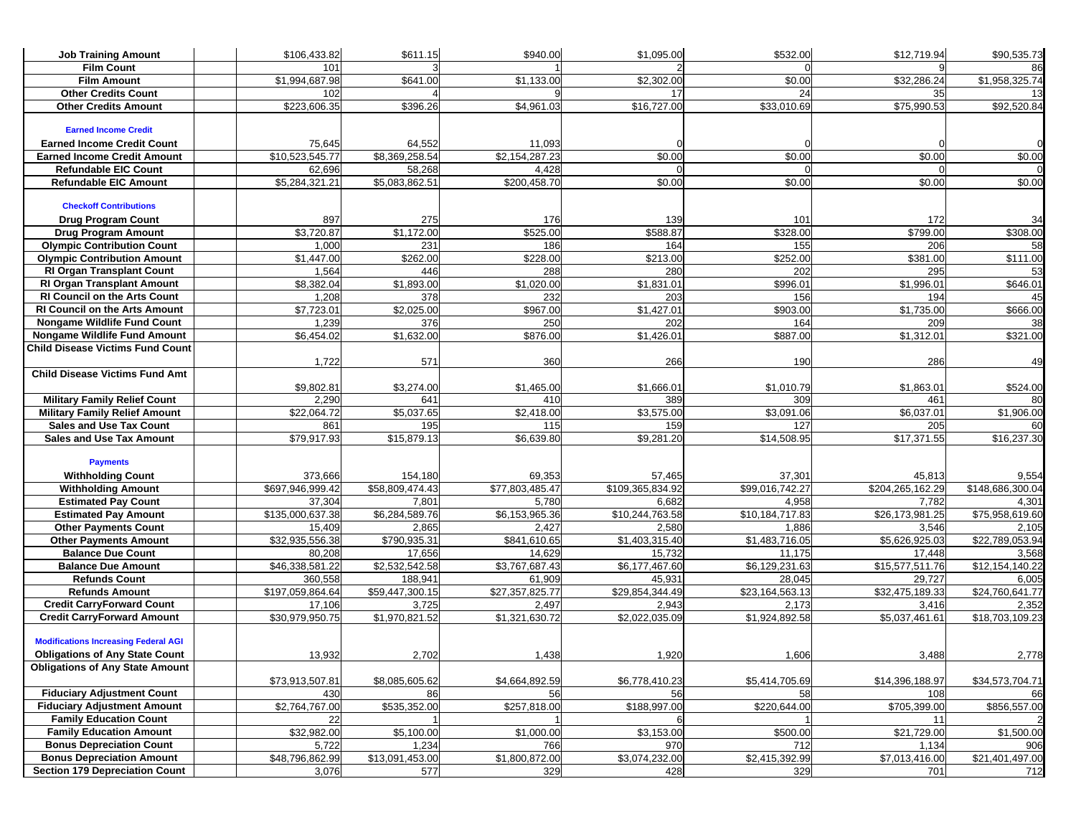| <b>Job Training Amount</b>                               | \$106,433.82              | \$611.15               | \$940.00              | \$1,095.00               | \$532.00                    | \$12,719.94              | \$90,535.73              |
|----------------------------------------------------------|---------------------------|------------------------|-----------------------|--------------------------|-----------------------------|--------------------------|--------------------------|
| <b>Film Count</b>                                        | 101                       |                        |                       |                          |                             |                          | 86                       |
| <b>Film Amount</b>                                       | \$1,994,687.98            | \$641.00               | \$1,133.00            | \$2,302.00               | \$0.00                      | \$32,286.24              | \$1,958,325.74           |
| <b>Other Credits Count</b>                               | 102                       |                        |                       | 17                       | 24                          | 35                       | 13                       |
| <b>Other Credits Amount</b>                              | \$223,606.35              | \$396.26               | \$4,961.03            | \$16,727.00              | \$33,010.69                 | \$75,990.53              | \$92,520.84              |
|                                                          |                           |                        |                       |                          |                             |                          |                          |
| <b>Earned Income Credit</b>                              |                           |                        |                       |                          |                             |                          |                          |
| <b>Earned Income Credit Count</b>                        | 75,645                    | 64,552                 | 11,093                |                          |                             |                          |                          |
| <b>Earned Income Credit Amount</b>                       | \$10,523,545.77           | \$8,369,258.54         | \$2,154,287.23        | \$0.00                   | \$0.00                      | \$0.00                   | \$0.00                   |
| <b>Refundable EIC Count</b>                              | 62,696                    | 58,268                 | 4,428                 | $\Omega$                 | $\Omega$                    |                          |                          |
| <b>Refundable EIC Amount</b>                             | \$5,284,321.21            | \$5,083,862.51         | \$200,458.70          | \$0.00                   | \$0.00                      | \$0.00                   | \$0.00                   |
|                                                          |                           |                        |                       |                          |                             |                          |                          |
| <b>Checkoff Contributions</b>                            |                           |                        |                       |                          |                             |                          |                          |
| <b>Drug Program Count</b><br><b>Drug Program Amount</b>  | 897<br>\$3,720.87         | 275<br>\$1,172.00      | 176<br>\$525.00       | 139<br>\$588.87          | 101<br>\$328.00             | 172<br>\$799.00          | 34<br>\$308.00           |
| <b>Olympic Contribution Count</b>                        | 1,000                     | 231                    | 186                   | 164                      | 155                         | 206                      | 58                       |
| <b>Olympic Contribution Amount</b>                       | \$1,447.00                | \$262.00               | \$228.00              | $\overline{$}213.00$     | \$252.00                    | \$381.00                 | \$111.00                 |
| <b>RI Organ Transplant Count</b>                         | 1,564                     | 446                    | 288                   | 280                      | 202                         | 295                      | 53                       |
| RI Organ Transplant Amount                               | \$8,382.04                | \$1,893.00             | \$1,020.00            | \$1,831.01               | \$996.01                    | \$1,996.01               | \$646.01                 |
| <b>RI Council on the Arts Count</b>                      | 1,208                     | 378                    | 232                   | 203                      | 156                         | 194                      | 45                       |
| <b>RI Council on the Arts Amount</b>                     | \$7,723.01                | \$2,025.00             | \$967.00              | \$1,427.01               | \$903.00                    | $\overline{$}1,735.00$   | \$666.00                 |
| Nongame Wildlife Fund Count                              | 1,239                     | 376                    | 250                   | 202                      | 164                         | 209                      | 38                       |
| <b>Nongame Wildlife Fund Amount</b>                      | \$6,454.02                | \$1,632.00             | \$876.00              | \$1,426.01               | \$887.00                    | \$1,312.01               | \$321.00                 |
| <b>Child Disease Victims Fund Count</b>                  |                           |                        |                       |                          |                             |                          |                          |
|                                                          | 1,722                     | 571                    | 360                   | 266                      | 190                         | 286                      | 49                       |
| <b>Child Disease Victims Fund Amt</b>                    |                           |                        |                       |                          |                             |                          |                          |
|                                                          | \$9,802.81                | \$3,274.00             | \$1,465.00            | \$1,666.01               | \$1,010.79                  | \$1,863.01               | \$524.00                 |
| <b>Military Family Relief Count</b>                      | 2,290                     | 641                    | 410                   | 389                      | 309                         | 461                      | 80                       |
| <b>Military Family Relief Amount</b>                     | \$22,064.72               | \$5,037.65             | \$2,418.00            | 3,575.00                 | \$3,091.06                  | \$6,037.01               | \$1,906.00               |
| <b>Sales and Use Tax Count</b>                           | 861                       | 195                    | 115                   | 159                      | 127                         | 205                      | 60                       |
| <b>Sales and Use Tax Amount</b>                          | \$79,917.93               | \$15,879.13            | \$6,639.80            | \$9,281.20               | \$14,508.95                 | \$17,371.55              | \$16,237.30              |
|                                                          |                           |                        |                       |                          |                             |                          |                          |
| <b>Payments</b>                                          |                           |                        |                       |                          |                             |                          |                          |
| <b>Withholding Count</b>                                 | 373,666                   | 154,180                | 69,353                | 57,465                   | 37,301                      | 45,813                   | 9,554                    |
| <b>Withholding Amount</b>                                | \$697,946,999.42          | \$58,809,474.43        | \$77,803,485.47       | \$109,365,834.92         | \$99,016,742.27             | \$204,265,162.29         | \$148,686,300.04         |
| <b>Estimated Pay Count</b>                               | 37,304                    | 7,801                  | 5,780                 | 6,682                    | 4,958                       | 7,782                    | 4,301                    |
| <b>Estimated Pay Amount</b>                              | \$135,000,637.38          | \$6,284,589.76         | \$6,153,965.36        | \$10,244,763.58          | \$10,184,717.83             | \$26,173,981.25          | \$75,958,619.60          |
| <b>Other Payments Count</b>                              | 15,409<br>\$32,935,556.38 | 2,865                  | 2,427<br>\$841,610.65 | 2,580                    | 1,886                       | 3,546                    | 2,105                    |
| <b>Other Payments Amount</b><br><b>Balance Due Count</b> | 80,208                    | \$790,935.31<br>17,656 | 14,629                | \$1,403,315.40<br>15,732 | \$1,483,716.05<br>11,175    | \$5,626,925.03<br>17,448 | \$22,789,053.94<br>3,568 |
| <b>Balance Due Amount</b>                                | \$46,338,581.22           | \$2,532,542.58         | \$3,767,687.43        | \$6,177,467.60           | \$6,129,231.63              | \$15,577,511.76          | \$12,154,140.22          |
| <b>Refunds Count</b>                                     | 360,558                   | 188,941                | 61,909                | 45,931                   | 28,045                      | 29,727                   | 6,005                    |
| <b>Refunds Amount</b>                                    | \$197,059,864.64          | \$59,447,300.15        | \$27,357,825.77       | \$29,854,344.49          | \$23,164,563.13             | \$32,475,189.33          | \$24,760,641.77          |
| <b>Credit CarryForward Count</b>                         | 17,106                    | 3,725                  | 2,497                 | 2,943                    | 2,173                       | 3,416                    | 2,352                    |
| <b>Credit CarryForward Amount</b>                        | \$30,979,950.75           | \$1,970,821.52         | \$1,321,630.72        | \$2,022,035.09           | $\overline{\$1,924,892.58}$ | \$5,037,461.61           | \$18,703,109.23          |
|                                                          |                           |                        |                       |                          |                             |                          |                          |
| <b>Modifications Increasing Federal AGI</b>              |                           |                        |                       |                          |                             |                          |                          |
| <b>Obligations of Any State Count</b>                    | 13,932                    | 2,702                  | 1,438                 | 1,920                    | 1,606                       | 3,488                    | 2,778                    |
| <b>Obligations of Any State Amount</b>                   |                           |                        |                       |                          |                             |                          |                          |
|                                                          | \$73,913,507.81           | \$8,085,605.62         | \$4,664,892.59        | \$6,778,410.23           | \$5,414,705.69              | \$14,396,188.97          | \$34,573,704.71          |
| <b>Fiduciary Adjustment Count</b>                        | 430                       | 86                     | 56                    | 56                       | 58                          | 108                      | 66                       |
| <b>Fiduciary Adjustment Amount</b>                       | \$2,764,767.00            | \$535,352.00           | \$257,818.00          | \$188,997.00             | \$220,644.00                | \$705,399.00             | \$856,557.00             |
| <b>Family Education Count</b>                            | 22                        |                        |                       | 6                        |                             | 11                       |                          |
| <b>Family Education Amount</b>                           | \$32,982.00               | \$5,100.00             | \$1,000.00            | \$3,153.00               | \$500.00                    | \$21,729.00              | \$1,500.00               |
| <b>Bonus Depreciation Count</b>                          | 5,722                     | 1,234                  | 766                   | 970                      | 712                         | 1,134                    | 906                      |
| <b>Bonus Depreciation Amount</b>                         | \$48,796,862.99           | \$13,091,453.00        | \$1,800,872.00        | \$3,074,232.00           | \$2,415,392.99              | \$7,013,416.00           | \$21,401,497.00          |
| <b>Section 179 Depreciation Count</b>                    | 3,076                     | 577                    | 329                   | 428                      | 329                         | 701                      | 712                      |